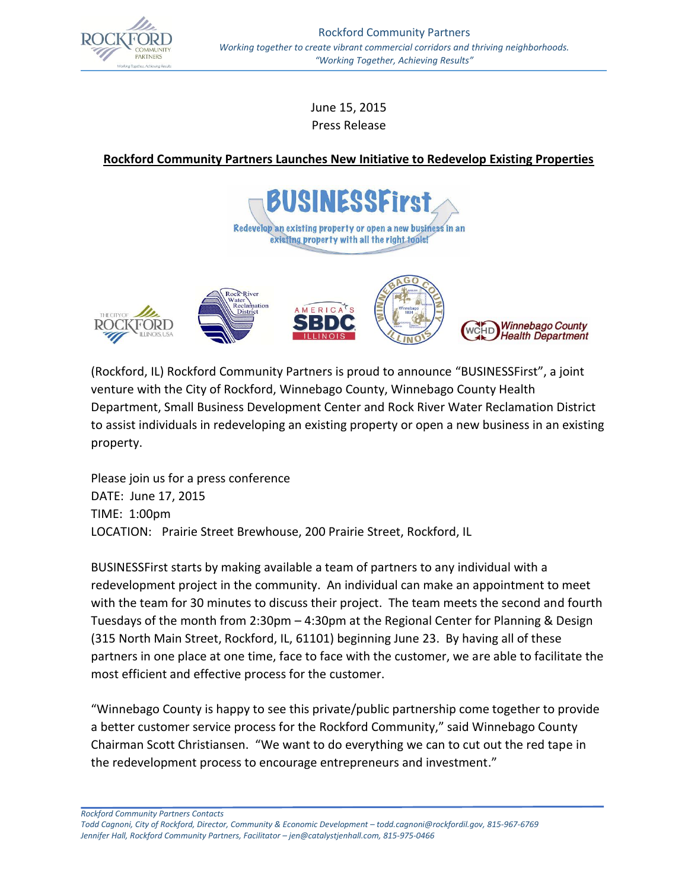

June 15, 2015 Press Release

## **Rockford Community Partners Launches New Initiative to Redevelop Existing Properties**





(Rockford, IL) Rockford Community Partners is proud to announce "BUSINESSFirst", a joint venture with the City of Rockford, Winnebago County, Winnebago County Health Department, Small Business Development Center and Rock River Water Reclamation District to assist individuals in redeveloping an existing property or open a new business in an existing property.

Please join us for a press conference DATE: June 17, 2015 TIME: 1:00pm LOCATION: Prairie Street Brewhouse, 200 Prairie Street, Rockford, IL

BUSINESSFirst starts by making available a team of partners to any individual with a redevelopment project in the community. An individual can make an appointment to meet with the team for 30 minutes to discuss their project. The team meets the second and fourth Tuesdays of the month from 2:30pm – 4:30pm at the Regional Center for Planning & Design (315 North Main Street, Rockford, IL, 61101) beginning June 23. By having all of these partners in one place at one time, face to face with the customer, we are able to facilitate the most efficient and effective process for the customer.

"Winnebago County is happy to see this private/public partnership come together to provide a better customer service process for the Rockford Community," said Winnebago County Chairman Scott Christiansen. "We want to do everything we can to cut out the red tape in the redevelopment process to encourage entrepreneurs and investment."

*Rockford Community Partners Contacts*

*Todd Cagnoni, City of Rockford, Director, Community & Economic Development – [todd.cagnoni@rockfordil.gov,](mailto:todd.cagnoni@rockfordil.gov) 815-967-6769 Jennifer Hall, Rockford Community Partners, Facilitator – [jen@catalystjenhall.com,](mailto:jen@catalystjenhall.com) 815-975-0466*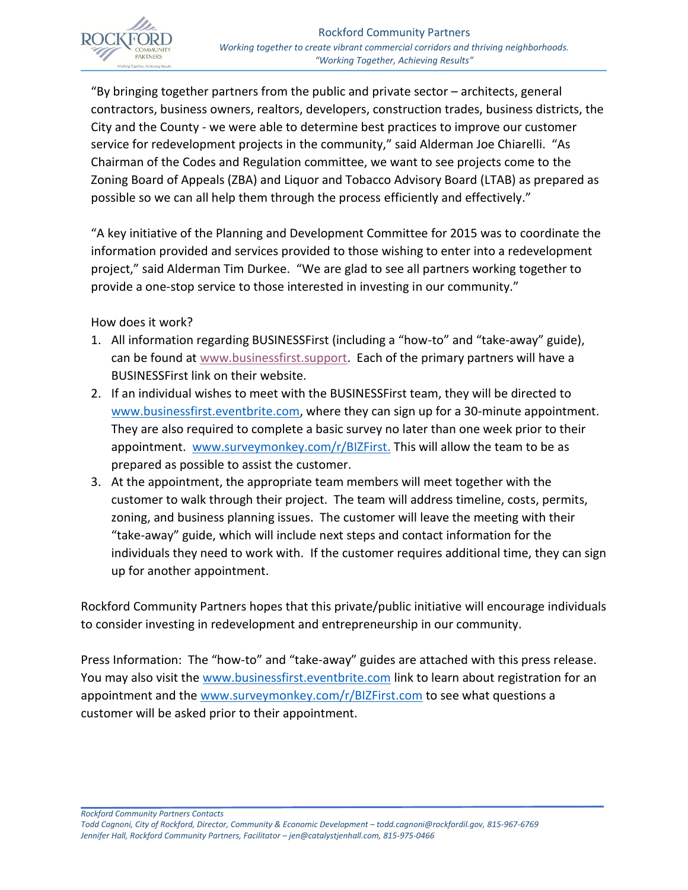

"By bringing together partners from the public and private sector – architects, general contractors, business owners, realtors, developers, construction trades, business districts, the City and the County - we were able to determine best practices to improve our customer service for redevelopment projects in the community," said Alderman Joe Chiarelli. "As Chairman of the Codes and Regulation committee, we want to see projects come to the Zoning Board of Appeals (ZBA) and Liquor and Tobacco Advisory Board (LTAB) as prepared as possible so we can all help them through the process efficiently and effectively."

"A key initiative of the Planning and Development Committee for 2015 was to coordinate the information provided and services provided to those wishing to enter into a redevelopment project," said Alderman Tim Durkee. "We are glad to see all partners working together to provide a one-stop service to those interested in investing in our community."

How does it work?

- 1. All information regarding BUSINESSFirst (including a "how-to" and "take-away" guide), can be found at [www.businessfirst.support.](http://www.businessfirst.support/) Each of the primary partners will have a BUSINESSFirst link on their website.
- 2. If an individual wishes to meet with the BUSINESSFirst team, they will be directed to [www.businessfirst.eventbrite.com,](http://www.businessfirst.eventbrite.com/) where they can sign up for a 30-minute appointment. They are also required to complete a basic survey no later than one week prior to their appointment. [www.surveymonkey.com/r/BIZFirst.](http://www.surveymonkey.com/r/BIZFirst) This will allow the team to be as prepared as possible to assist the customer.
- 3. At the appointment, the appropriate team members will meet together with the customer to walk through their project. The team will address timeline, costs, permits, zoning, and business planning issues. The customer will leave the meeting with their "take-away" guide, which will include next steps and contact information for the individuals they need to work with. If the customer requires additional time, they can sign up for another appointment.

Rockford Community Partners hopes that this private/public initiative will encourage individuals to consider investing in redevelopment and entrepreneurship in our community.

Press Information: The "how-to" and "take-away" guides are attached with this press release. You may also visit the [www.businessfirst.eventbrite.com](http://www.businessfirst.eventbrite.com/) link to learn about registration for an appointment and the [www.surveymonkey.com/r/BIZFirst.com](http://www.surveymonkey.com/r/BIZFirst.com) to see what questions a customer will be asked prior to their appointment.

*Rockford Community Partners Contacts*

*Todd Cagnoni, City of Rockford, Director, Community & Economic Development – [todd.cagnoni@rockfordil.gov,](mailto:todd.cagnoni@rockfordil.gov) 815-967-6769 Jennifer Hall, Rockford Community Partners, Facilitator – [jen@catalystjenhall.com,](mailto:jen@catalystjenhall.com) 815-975-0466*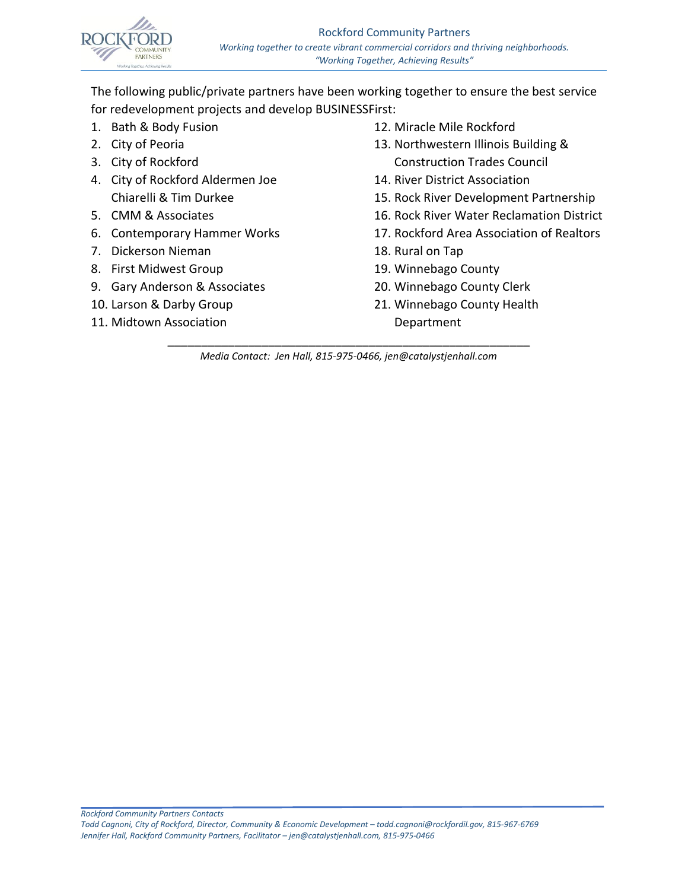

The following public/private partners have been working together to ensure the best service for redevelopment projects and develop BUSINESSFirst:

- 1. Bath & Body Fusion
- 2. City of Peoria
- 3. City of Rockford
- 4. City of Rockford Aldermen Joe Chiarelli & Tim Durkee
- 5. CMM & Associates
- 6. Contemporary Hammer Works
- 7. Dickerson Nieman
- 8. First Midwest Group
- 9. Gary Anderson & Associates
- 10. Larson & Darby Group
- 11. Midtown Association
- 12. Miracle Mile Rockford
- 13. Northwestern Illinois Building & Construction Trades Council
- 14. River District Association
- 15. Rock River Development Partnership
- 16. Rock River Water Reclamation District
- 17. Rockford Area Association of Realtors
- 18. Rural on Tap
- 19. Winnebago County
- 20. Winnebago County Clerk
- 21. Winnebago County Health Department

\_\_\_\_\_\_\_\_\_\_\_\_\_\_\_\_\_\_\_\_\_\_\_\_\_\_\_\_\_\_\_\_\_\_\_\_\_\_\_\_\_\_\_\_\_\_\_\_\_\_\_\_\_\_ *Media Contact: Jen Hall, 815-975-0466, jen@catalystjenhall.com*